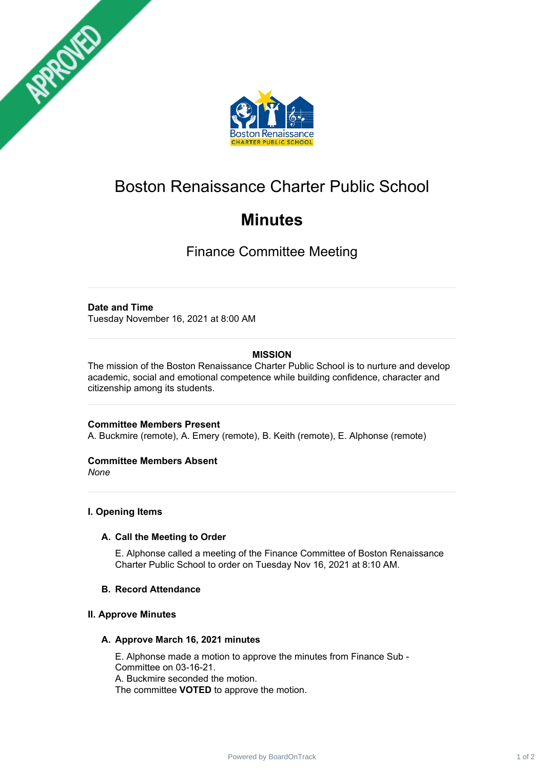



# Boston Renaissance Charter Public School

# **Minutes**

Finance Committee Meeting

# **Date and Time**

Tuesday November 16, 2021 at 8:00 AM

# **MISSION**

The mission of the Boston Renaissance Charter Public School is to nurture and develop academic, social and emotional competence while building confidence, character and citizenship among its students.

## **Committee Members Present**

A. Buckmire (remote), A. Emery (remote), B. Keith (remote), E. Alphonse (remote)

## **Committee Members Absent**

*None*

## **I. Opening Items**

## **A. Call the Meeting to Order**

E. Alphonse called a meeting of the Finance Committee of Boston Renaissance Charter Public School to order on Tuesday Nov 16, 2021 at 8:10 AM.

## **B. Record Attendance**

## **II. Approve Minutes**

#### **A. Approve March 16, 2021 minutes**

E. Alphonse made a motion to approve the minutes from Finance Sub - Committee on 03-16-21. A. Buckmire seconded the motion. The committee **VOTED** to approve the motion.